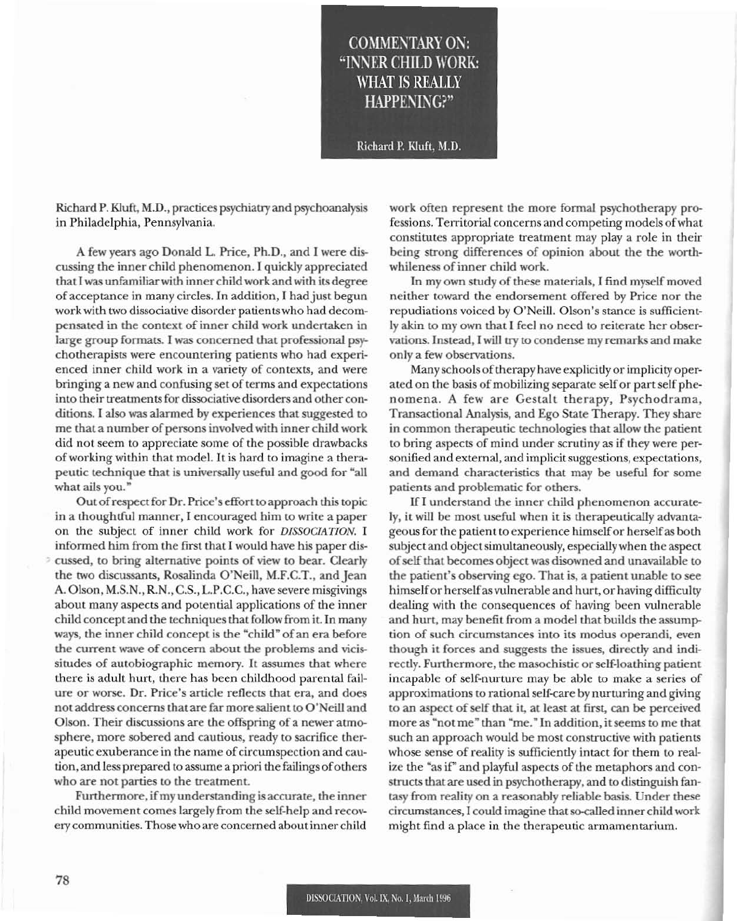## **COMMENTARY ON:** "INNER CHILD WORK: WHAT IS REALLY HAPPENING?"

Richard P. Kluft, M.D.

Richard P. Kluft, M.D., practices psychialry and psychoanalysis in Philadelphia, Pennsylvania.

A few years ago Donald L. Price, Ph.D., and I were discussing the inner child phenomenon. I quickly appreciated that Iwas unfamiliarwith inner child work and with its degree of acceptance in many circles. In addition, I had just begun work with two dissociative disorder patientswho had decompensated in the context of inner child work undertaken in large group formats. I was concerned that professional psychotherapists were encountering patients who had experienced inner child work in a variety of contexts, and were bringing a new and confusing set of terms and expectations into their treatments for dissociative disorders and other conditions. I also was alarmed by experiences that suggested to me that a number of persons involved with inner child work did not seem to appreciate some of the possible drawbacks of working within that model. It is hard to imagine a therapeutic technique that is universally useful and good for "all what ails you."

Outofrespect for Dr. Price's effort to approach this topic in a thoughtful manner, I encouraged him to write a paper on the subject of inner child work for *DISSOCIATION.* I informed him from the first that 1would have his paper discussed, to bring alternative points of view to bear. Oearly the two discussants, Rosalinda O'Neill, M.F.CT., and Jean A. Olson, M.S.N., R.N., C.S., L.P.C.C., have severe misgivings about many aspects and potential applications of the inner child concept and the techniques that follow from it. In many ways, the inner child concept is the "child" of an era before the current wave of concern about the problems and vicissitudes of autobiographic memory. It assumes that where there is adult hurt, there has been childhood parental failure or worse. Dr. Price's article reflects that era, and does not address concerns that are far more salient to O'Neill and Olson. Their discussions are the offspring of a newer atmosphere, more sobered and cautious, ready to sacrifice therapeutic exuberance in the name of circumspection and caution, and less prepared to assume a priori the failings of others who are not parties to the treatment.

Furthermore, if my understanding is accurate, the inner child movement comes largely from the self-heIp and recoverycommunities. Thosewho are concemed about inner child

work often represent the more formal psychotherapy professions. Territorial concerns and competing models ofwhat constitutes appropriate treatment may play a role in their being strong differences of opinion about the the worthwhileness of inner child work.

In my own study of these materials, I find myself moved neither toward the endorsement offered by Price nor the repudiations voiced by O'Neill. Olson's stance is sufficiently akin to my own that I feel no need to reiterate her observations. Instead, I will try to condense my remarks and make only a few observations.

Many schools of therapy have explicitly or implicity operated on the basis of mobilizing separate self or part self phenomena. A few are Gestalt therapy. Psychodrama, Transactional Analysis, and Ego State Therapy. They share in common therapeutic technologies that allow the patient to bring aspects of mind under scrutiny as if they were personified and external, and implicit suggestions, expectations, and demand characteristics that may be useful for some patients and problematic for others.

1f1 understand the inner child phenomenon accurately, it will be most useful when it is therapeutically advantageous for the patient to experience himselfor herselfas both subject and object simultaneously, especially when the aspect of self that becomes object was disowned and unavailable to the patient's observing ego. That is, a patient unable to see himself or herself as vulnerable and hurt, or having difficulty dealing with the consequences of having been vulnerable and hurt, may benefit from a model that builds the assumption of such circumstances into its modus operandi. even though it forces and suggests the issues, directly and indirectly. Furthermore. the masochistic orself-loathing patient incapable of self-nurture may be able to make a series of approximations to rational self-care by nurturing and giving to an aspect of self that it, at least at first, can be perceived more as "not me" than "me.'" In addition, itseems to me that such an approach would be most constructive with patients whose sense of reality is sufficiently intact for them to realize the "as if" and playful aspects of the metaphors and constructs that are used in psychotherapy, and to distinguish fantasy from reality on a reasonably reliable basis. Under these circumstances. I could imagine thatso-called inner child work might find a place in the therapeutic armamentarium.